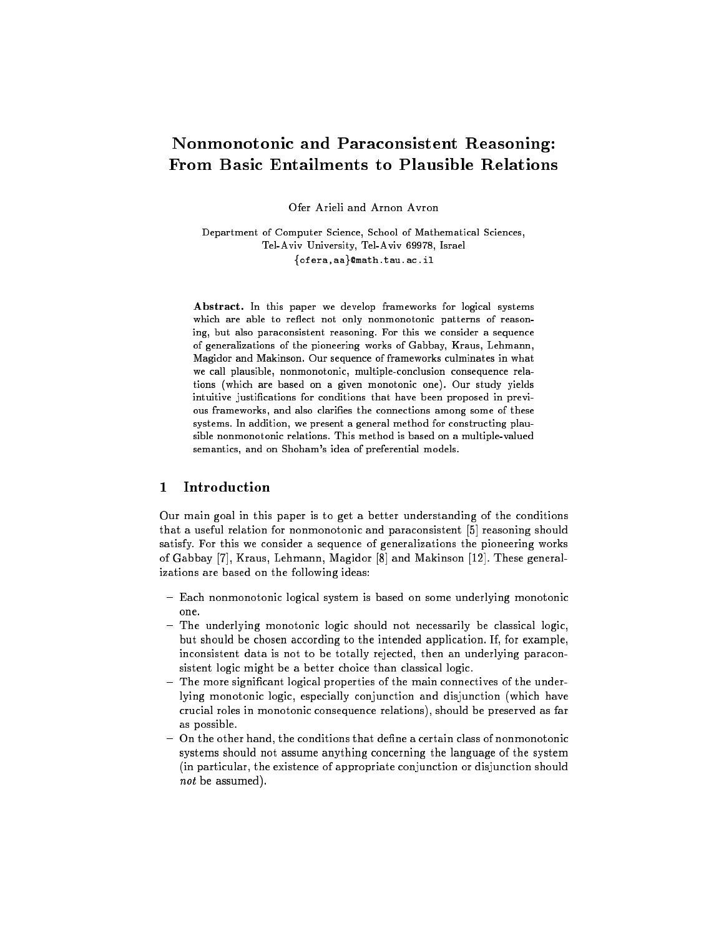### Nonmonotonic and Paraconsistent Reasoning: From Basic Entailments to Plausible Relations  $-$ Basic Entailments to Plausible Relations

Ofer Arieli and Arnon Avron

Department of Computer Science, School of Mathematical Sciences, Tel-Aviv University, Tel-Aviv 69978, Israel fofera,aag@math.tau.ac.il

Abstract. In this paper we develop frameworks for logical systems which are able to reflect not only nonmonotonic patterns of reasoning, but also paraconsistent reasoning. For this we consider a sequence of generalizations of the pioneering works of Gabbay, Kraus, Lehmann, Magidor and Makinson. Our sequence of frameworks culminates in what we call plausible, nonmonotonic, multiple-conclusion consequence relations (which are based on a given monotonic one). Our study yields intuitive justications for conditions that have been proposed in previous frameworks, and also clarifies the connections among some of these systems. In addition, we present a general method for constructing plausible nonmonotonic relations. This method is based on a multiple-valued semantics, and on Shoham's idea of preferential models.

# $\mathbf{1}$

Our main goal in this paper is to get a better understanding of the conditions that a useful relation for nonmonotonic and paraconsistent [5] reasoning should satisfy. For this we consider a sequence of generalizations the pioneering works of Gabbay [7], Kraus, Lehmann, Magidor [8] and Makinson [12]. These generalizations are based on the following ideas:

- Each nonmonotonic logical system is based on some underlying monotonic one.
- The underlying monotonic logic should not necessarily be classical logic, but should be chosen according to the intended application. If, for example, inconsistent data is not to be totally rejected, then an underlying paraconsistent logic might be a better choice than classical logic.
- The more significant logical properties of the main connectives of the underlying monotonic logic, especially conjunction and disjunction (which have crucial roles in monotonic consequence relations), should be preserved as far as possible.
- $-$  On the other hand, the conditions that define a certain class of nonmonotonic systems should not assume anything concerning the language of the system (in particular, the existence of appropriate conjunction or disjunction should not be assumed).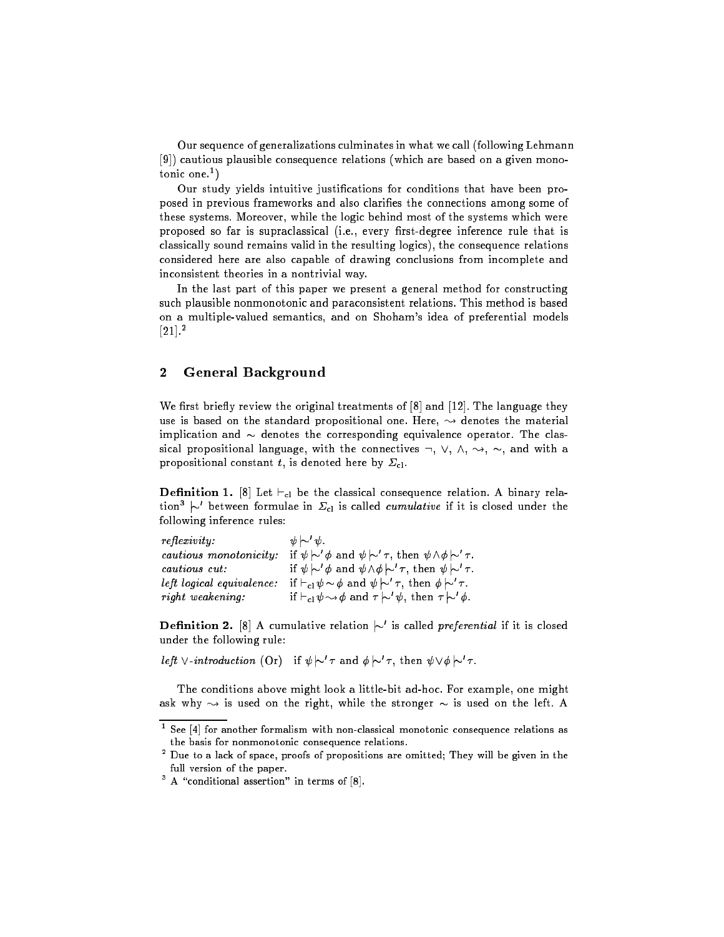Our sequence of generalizations culminates in what we call (following Lehmann [9]) cautious plausible consequence relations (which are based on a given monotonic one.1 )

Our study yields intuitive justications for conditions that have been proposed in previous frameworks and also claries the connections among some of these systems. Moreover, while the logic behind most of the systems which were proposed so far is supraclassical (i.e., every first-degree inference rule that is classically sound remains valid in the resulting logics), the consequence relations considered here are also capable of drawing conclusions from incomplete and inconsistent theories in a nontrivial way.

In the last part of this paper we present a general method for constructing such plausible nonmonotonic and paraconsistent relations. This method is based on a multiple-valued semantics, and on Shoham's idea of preferential models  $[21]$ <sup>2</sup>

# 2 General Background

We first briefly review the original treatments of  $[8]$  and  $[12]$ . The language they use is based on the standard propositional one. Here,  $\sim$  denotes the material implication and  $\sim$  denotes the corresponding equivalence operator. The classical propositional language, with the connectives  $\neg$ ,  $\vee$ ,  $\wedge$ ,  $\sim$ ,  $\sim$ , and with a propositional constant t, is denoted here by cl .

Denition 1. [8] Let `cl be the classical consequence relation. A binary relation  $\sim$  between formulae in  $\omega_{\rm cl}$  is called *cumulative* if it is closed under the following inference rules:

```
reflexivity:
                                          \psi \sim' \psi.
cautious monotonicity. If \psi \sim \varphi and \psi \sim \tau, then \psi \wedge \varphi \sim \tau.
cautious cut:if \psi \sim \varphi and \psi \wedge \varphi \sim \tau, then \psi \sim \tau.
left logical equivalence: \text{If } \vdash_{\text{cl}} \psi \sim \varphi and \psi \sim \tau, then \varphi \sim \tau.
right weakening:
        weakening: if \vdash_{\text{cl}} \psi \rightsquigarrow \phi and \tau \sim \psi, then \tau \sim \varphi.
```
**Definition 2.** [6] A cumulative relation  $\sim$  is called *preferential* if it is closed under the following rule:

left  $\vee$ -introduction (Or) if  $w \sim \tau$  and  $\phi \sim \tau$ , then  $w \vee \phi \sim \tau$ .

The conditions above might look a little-bit ad-hoc. For example, one might ask why  $\rightsquigarrow$  is used on the right, while the stronger  $\sim$  is used on the left. A

See [4] for another formalism with non-classical monotonic consequence relations as the basis for nonmonotonic consequence relations.

<sup>2</sup> Due to a lack of space, proofs of propositions are omitted; They will be given in the full version of the paper.

 $\Delta$  "conditional assertion" in terms of  $|8|$ .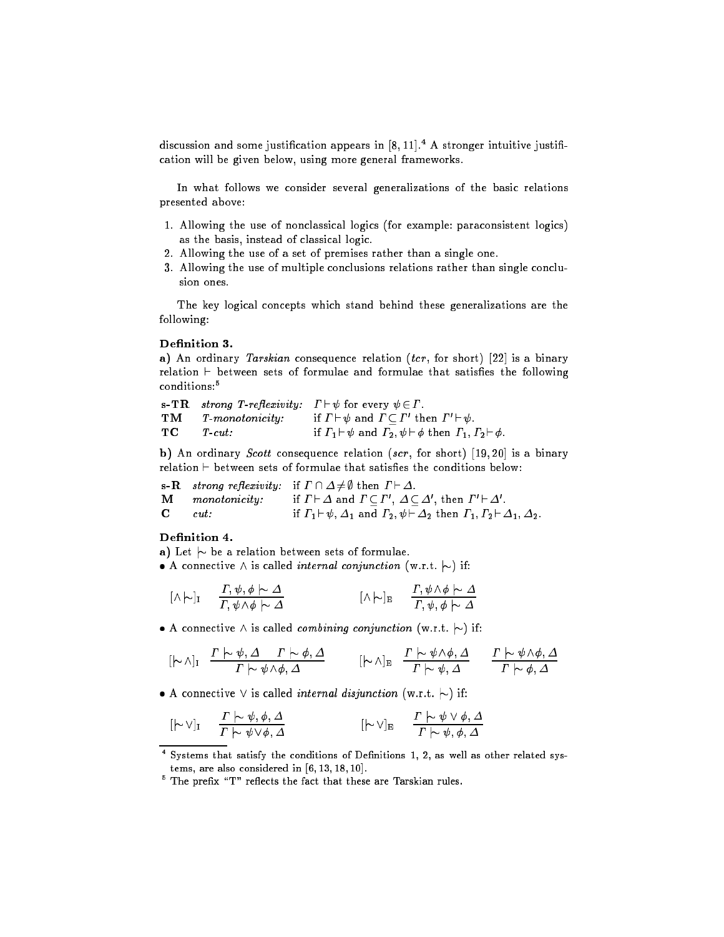discussion and some justification appears in  $[8, 11].<sup>4</sup>$  A stronger intuitive justification will be given below, using more general frameworks.

In what follows we consider several generalizations of the basic relations presented above:

- 1. Allowing the use of nonclassical logics (for example: paraconsistent logics) as the basis, instead of classical logic.
- 2. Allowing the use of a set of premises rather than a single one.
- 3. Allowing the use of multiple conclusions relations rather than single conclusion ones.

The key logical concepts which stand behind these generalizations are the following:

### Definition 3.

a) An ordinary Tarskian consequence relation (tcr, for short) [22] is a binary relation  $\vdash$  between sets of formulae and formulae that satisfies the following conditions:5

|                  | s-TR strong T reflexivity. $\Gamma \vdash \psi$ for every $\psi \in \Gamma$ .                               |
|------------------|-------------------------------------------------------------------------------------------------------------|
|                  | <b>TM</b> T-monotonicity: if $\Gamma \vdash \psi$ and $\Gamma \subset \Gamma'$ then $\Gamma' \vdash \psi$ . |
| $TC$ $T$ $cut$ . | if $\Gamma_1 \vdash \psi$ and $\Gamma_2$ , $\psi \vdash \phi$ then $\Gamma_1$ , $\Gamma_2 \vdash \phi$ .    |

b) An ordinary Scott consequence relation (scr, for short)  $[19, 20]$  is a binary relation  $\vdash$  between sets of formulae that satisfies the conditions below:

s-R strong reflexivity: if  $\Gamma \cap \Delta \neq \emptyset$  then  $\Gamma \vdash \Delta$ . IVI monotonicity: If  $I \subset \Delta$  and  $I \subset I$ ,  $\Delta \subset \Delta$ , then  $I \subset \Delta$ .  $\mathbf C$ <sup>C</sup> cut: if 1 ` ; 1 and 2; `2 then 1; 2 `1; 2.

Definition 4.

a) Let  $\sim$  be a relation between sets of formulae.

A connective ^ is called internal conjunction (w.r.t. j) if:

$$
[\wedge \{\sim\}]_{\mathrm{I}} \quad \begin{array}{ccc} \Gamma, \psi, \phi \hspace{0.2em}\sim\hspace{0.2em} \Delta \\ \Gamma, \psi \wedge \phi \hspace{0.2em}\sim\hspace{0.2em} \Delta \end{array} \qquad \qquad [\wedge \{\sim\}]_{\mathrm{E}} \quad \begin{array}{ccc} \Gamma, \psi \wedge \phi \hspace{0.2em}\sim\hspace{0.2em} \Delta \\ \Gamma, \psi, \phi \hspace{0.2em}\sim\hspace{0.2em} \Delta \end{array}
$$

A connective ^ is called combining conjunction (w.r.t. j) if:

$$
[\sim \wedge]_I \quad \frac{\Gamma \sim \psi, \Delta \quad \Gamma \sim \phi, \Delta}{\Gamma \sim \psi \wedge \phi, \Delta} \qquad \qquad [\sim \wedge]_E \quad \frac{\Gamma \sim \psi \wedge \phi, \Delta}{\Gamma \sim \psi, \Delta} \qquad \frac{\Gamma \sim \psi \wedge \phi, \Delta}{\Gamma \sim \phi, \Delta}
$$

 $\sim$  4.4. Connective and  $\sim$  is called internal disturbation (w.r.t. j) if:

$$
[\hspace{-.10em}\sim\hspace{-.10em}\mid\hspace{-.10em}\mid \mathcal{V}]_I \quad \frac{\Gamma \hspace{-.10em}\sim\hspace{-.10em}\mid\hspace{-.10em}\mathcal{V}, \phi, \Delta}{\Gamma \hspace{-.10em}\sim\hspace{-.10em}\mid\hspace{-.10em}\mathcal{V} \vee \phi, \Delta} \qquad [\hspace{-.10em}\sim\hspace{-.10em}\mid\hspace{-.10em}\mathcal{V}]_E \quad \frac{\Gamma \hspace{-.10em}\sim\hspace{-.10em}\mid\hspace{-.10em}\mathcal{V} \vee \phi, \Delta}{\Gamma \hspace{-.10em}\sim\hspace{-.10em}\mid\hspace{-.10em}\mathcal{V}, \phi, \Delta}
$$

<sup>4</sup> Systems that satisfy the conditions of Denitions 1, 2, as well as other related systems, are also considered in [6, 13, 18, 10].

The prefix "I" reflects the fact that these are Tarskian rules.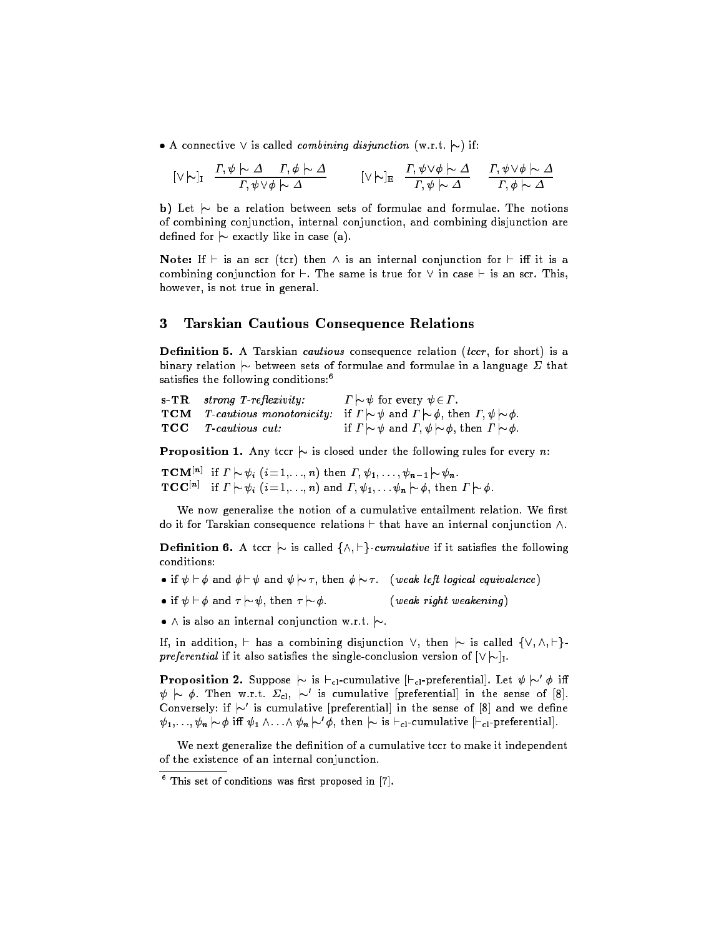A connective \_ is called combining disjunction (w.r.t. j) if:

$$
[\vee \wedge]_{\mathrm{I}} \quad \frac{\Gamma, \psi \wedge \Delta \quad \Gamma, \phi \wedge \Delta}{\Gamma, \psi \vee \phi \wedge \Delta} \qquad \qquad [\vee \wedge]_{\mathrm{E}} \quad \frac{\Gamma, \psi \vee \phi \wedge \Delta}{\Gamma, \psi \wedge \Delta} \quad \frac{\Gamma, \psi \vee \phi \wedge \Delta}{\Gamma, \phi \wedge \Delta}
$$

b) Let  $\sim$  be a relation between sets of formulae and formulae. The notions of combining conjunction, internal conjunction, and combining disjunction are defined for  $\sim$  exactly like in case (a).

Note: If  $\vdash$  is an scr (tcr) then  $\wedge$  is an internal conjunction for  $\vdash$  iff it is a combining conjunction for  $\vdash$ . The same is true for  $\vee$  in case  $\vdash$  is an scr. This, however, is not true in general.

#### <sup>3</sup> Tarskian Cautious Consequence Relations 3

**Definition 5.** A Tarskian *cautious* consequence relation (tccr, for short) is a binary relation  $\sim$  between sets of formulae and formulae in a language  $\Sigma$  that satisfies the following conditions:<sup>6</sup>

```
s-TR strong T-reflexivity: \Gamma \sim \psi for every \psi \in \Gamma.
TCM T-cautious monotonicity: if \Gamma \sim \psi and \Gamma \sim \phi, then \Gamma, \psi \sim \phi.
           T-cautious cut: if \Gamma \sim \psi and \Gamma, \psi \sim \phi, then \Gamma \sim \phi.
TCC
```
**Proposition 1.** Any tccr  $\sim$  is closed under the following rules for every n:

**i** CIME if  $\forall$  i  $i \in \{1, \ldots, n\}$  then  $i, \psi_1, \ldots, \psi_{n-1} \sim \psi_n$ . **i** CC<sup>(ii)</sup> if  $j \sim \psi_i$  ( $i = 1, \ldots, n$ ) and  $j, \psi_1, \ldots, \psi_n \sim \varphi$ , then  $j \sim \varphi$ .

We now generalize the notion of a cumulative entailment relation. We first do it for Tarskian consequence relations  $\vdash$  that have an internal conjunction  $\wedge$ .

**Definition 6.** A tccr  $\sim$  is called  $\{\wedge, \vdash\}$ -cumulative if it satisfies the following conditions:

- if ` and ` and j , then j . (weak left logical equivalence)
- if it is and it is a great right weakening in the second part of the second  $\mu$
- ^ is also an internal conjunction w.r.t. j.

If, in addition,  $\vdash$  has a combining disjunction  $\vee$ , then  $\vdash$  is called  $\{\vee, \wedge, \vdash\}$ . preferential if it also satises the single-conclusion version of [\_ j] I.

**Proposition 2.** Suppose  $\sim$  is  $\vdash_{c}$ -cumulative  $\mid \vdash_{c}$ -preferential). Let  $\psi \sim \varphi$  in  $\psi \sim \phi$ . Then w.r.t.  $\mathcal{L}_{\text{cl}}, \sim$  is cumulative [preferential] in the sense of [8]. Conversely: if  $\sim$  is cumulative [preferential] in the sense of [8] and we define  $\psi_1, \ldots, \psi_n \sim \varphi$  in  $\psi_1 \wedge \ldots \wedge \psi_n \sim \varphi$ , then  $\sim$  is  $\vdash_{\mathsf{cl}}$ -cumulative  $\mid \vdash_{\mathsf{cl}}$ -preferential).

We next generalize the definition of a cumulative tccr to make it independent of the existence of an internal conjunction.

I his set of conditions was first proposed in  $|7|$ .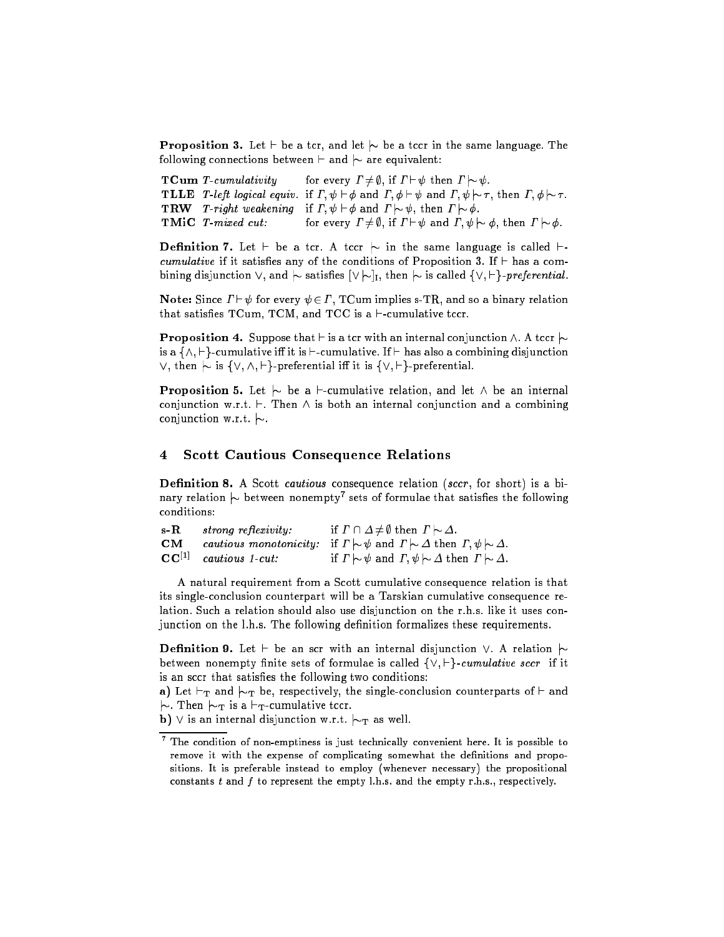**Proposition 3.** Let  $\vdash$  be a tcr, and let  $\vdash$  be a tccr in the same language. The following connections between  $\vdash$  and  $\sim$  are equivalent:

```
TCum T-cumulativity for every \Gamma \neq \emptyset, if \Gamma \vdash \psi then \Gamma \mid \sim \psi.
TLLE T-left logical equiv. if \Gamma, \psi \vdash \phi and \Gamma, \phi \vdash \psi and \Gamma, \psi \not \mid \neg \tau, then \Gamma, \phi \not \mid \neg \tau.
TRW T-right weakening if \Gamma, \psi \vdash \phi and \Gamma \vdash \psi, then \Gamma \vdash \phi.
TMIC T-mixed cut: for every \Gamma \neq \emptyset, if \Gamma \vdash \psi and \Gamma, \psi \vdash \phi, then \Gamma \vdash \phi.
```
**Definition 7.** Let  $\vdash$  be a tcr. A tccr  $\vdash$  in the same language is called  $\vdash$ cumulative if it satisfies any of the conditions of Proposition 3. If  $\sim$  1. If  $\sim$ bining disjunction  $\alpha$  , and j satisfies [ ], j is called for the fact  $\alpha$  ,  $\beta$  is called for  $\alpha$ 

Note: Since  $\Gamma \vdash \psi$  for every  $\psi \in \Gamma$ , TCum implies s-TR, and so a binary relation that satisfies TCum, TCM, and TCC is a  $\vdash$ -cumulative tccr.

**Proposition 4.** Suppose that  $\vdash$  is a tcr with an internal conjunction  $\land$ . A tccr  $\sim$ is a  $\{\wedge, \vdash\}$ -cumulative iff it is  $\vdash$ -cumulative. If  $\vdash$  has also a combining disjunction  $\vee$ , then  $\sim$  is  $\{\vee, \wedge, \vdash\}$ -preferential iff it is  $\{\vee, \vdash\}$ -preferential.

**Proposition 5.** Let  $\sim$  be a  $\vdash$ -cumulative relation, and let  $\land$  be an internal conjunction w.r.t.  $\vdash$ . Then  $\wedge$  is both an internal conjunction and a combining conjunction w.r.t.  $\sim$ .

#### **Scott Cautious Consequence Relations**  $\overline{\mathbf{4}}$

**Definition 8.** A Scott *cautious* consequence relation (sccr, for short) is a binary relation  $\sim$  between nonempty sets of formulae that satisfies the following conditions:

| $s - R$ | $strong \,\,reflexivity.$           | if $\Gamma \cap \Delta \neq \emptyset$ then $\Gamma \sim \Delta$ .                                                |
|---------|-------------------------------------|-------------------------------------------------------------------------------------------------------------------|
|         |                                     | <b>CM</b> cautious monotonicity: if $\Gamma \sim \psi$ and $\Gamma \sim \Delta$ then $\Gamma, \psi \sim \Delta$ . |
|         | $\mathbf{CC}^{[1]}$ cautious 1-cut: | if $\Gamma \sim \psi$ and $\Gamma, \psi \sim \Delta$ then $\Gamma \sim \Delta$ .                                  |

A natural requirement from a Scott cumulative consequence relation is that its single-conclusion counterpart will be a Tarskian cumulative consequence relation. Such a relation should also use disjunction on the r.h.s. like it uses conjunction on the l.h.s. The following definition formalizes these requirements.

**Definition 9.** Let  $\vdash$  be an scr with an internal disjunction  $\lor$ . A relation  $\vdash$ between nonempty finite sets of formulae is called  $\{ \vee, \vdash \}$ -cumulative sccr if it is an sccr that satisfies the following two conditions:

a) Let  $\top$  and jT be, respectively, the single-conclusion counterparts of  $\top$ j. Then jT is a `T-cumulative tccr.

 $\sim$  ) and internal disturbance weight with which we like  $\sim$  . The well-well.

 $^\circ$  The condition of non-emptiness is just technically convenient here. It is possible to remove it with the expense of complicating somewhat the definitions and propositions. It is preferable instead to employ (whenever necessary) the propositional constants <sup>t</sup> and <sup>f</sup> to represent the empty l.h.s. and the empty r.h.s., respectively.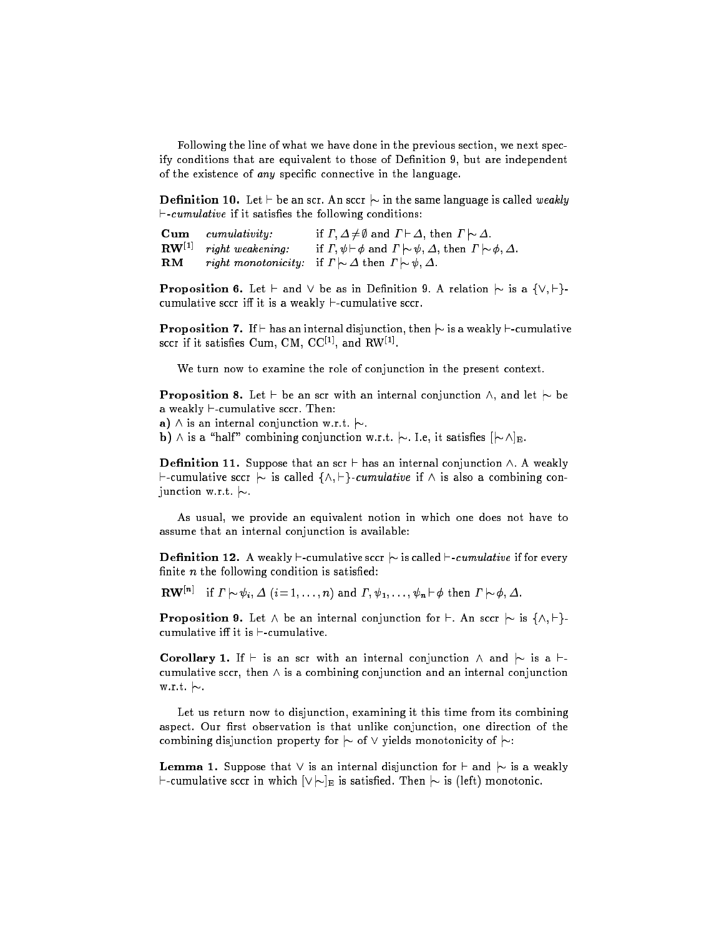Following the line of what we have done in the previous section, we next specify conditions that are equivalent to those of Definition 9, but are independent of the existence of any specific connective in the language.

**Definition 10.** Let  $\vdash$  be an scr. An sccr  $\sim$  in the same language is called weakly  $\sim$  cumulative if it satisfaction the following conditions:

|     | Cum cumulativity.                              | if $\Gamma, \Delta \neq \emptyset$ and $\Gamma \vdash \Delta$ , then $\Gamma \vdash \Delta$ .        |
|-----|------------------------------------------------|------------------------------------------------------------------------------------------------------|
|     | $\mathbf{R} \mathbf{W}^{[1]}$ right weakening: | if $\Gamma, \psi \vdash \phi$ and $\Gamma \vdash \psi, \Delta$ , then $\Gamma \vdash \phi, \Delta$ . |
| RM. |                                                | <i>right monotonicity:</i> if $\Gamma \sim \Delta$ then $\Gamma \sim \psi$ , $\Delta$ .              |

**Proposition 6.** Let  $\vdash$  and  $\vee$  be as in Definition 9. A relation  $\sim$  is a  $\{\vee, \vdash\}$ cumulative sccr iff it is a weakly  $\vdash$ -cumulative sccr.

**Proposition 7.** If  $\vdash$  has an internal disjunction, then  $\vdash$  is a weakly  $\vdash$ -cumulative sccr if it satisfies  $\text{Cum}, \text{Um}, \text{Cu}^{\text{-}}$ , and  $\text{KW}^{\text{-}}$ .

We turn now to examine the role of conjunction in the present context.

**Proposition 8.** Let  $\vdash$  be an scr with an internal conjunction  $\land$ , and let  $\vdash$  be a weakly  $\vdash$ -cumulative sccr. Then:

a)  $\land$  is an internal conjunction w.r.t.  $\sim$ .

b)  $\wedge$  is a "half" combining conjunction w.r.t.  $\sim$ . I.e, it satisfies  $[\sim \wedge]_E$ .

**Definition 11.** Suppose that an scr  $\vdash$  has an internal conjunction  $\land$ . A weakly  $\vdash$ -cumulative sccr  $\sim$  is called  $\{\land,\vdash\}$ -cumulative if  $\land$  is also a combining conjunction w.r.t.  $\sim$ .

As usual, we provide an equivalent notion in which one does not have to assume that an internal conjunction is available:

**Definition 12.** A weakly  $\vdash$ -cumulative sccr  $\sim$  is called  $\vdash$ -*cumulative* if for every finite  $n$  the following condition is satisfied:

**RW** if  $i \in \mathcal{V}_i$ ,  $\Delta$   $(i=1,\ldots,n)$  and  $i, \psi_1, \ldots, \psi_n \vdash \varphi$  then  $i \in \mathcal{V}_i$ ,  $\Delta$ .

**Proposition 9.** Let  $\wedge$  be an internal conjunction for  $\vdash$ . An sccr  $\smile$  is  $\{\wedge,\vdash\}$ cumulative iff it is  $\vdash$ -cumulative.

Corollary 1. If  $\vdash$  is an scr with an internal conjunction  $\land$  and  $\sim$  is a  $\vdash$ cumulative sccr, then  $\wedge$  is a combining conjunction and an internal conjunction w.r.t.  $\sim$ .

Let us return now to disjunction, examining it this time from its combining aspect. Our first observation is that unlike conjunction, one direction of the combining disjunction property for  $\sim$  of  $\vee$  yields monotonicity of  $\sim$ :

**Lemma 1.** Suppose that  $\vee$  is an internal disjunction for  $\vdash$  and  $\sim$  is a weakly `-cumulative sccr in which [\_ j]E is satised. Then j is (left) monotonic.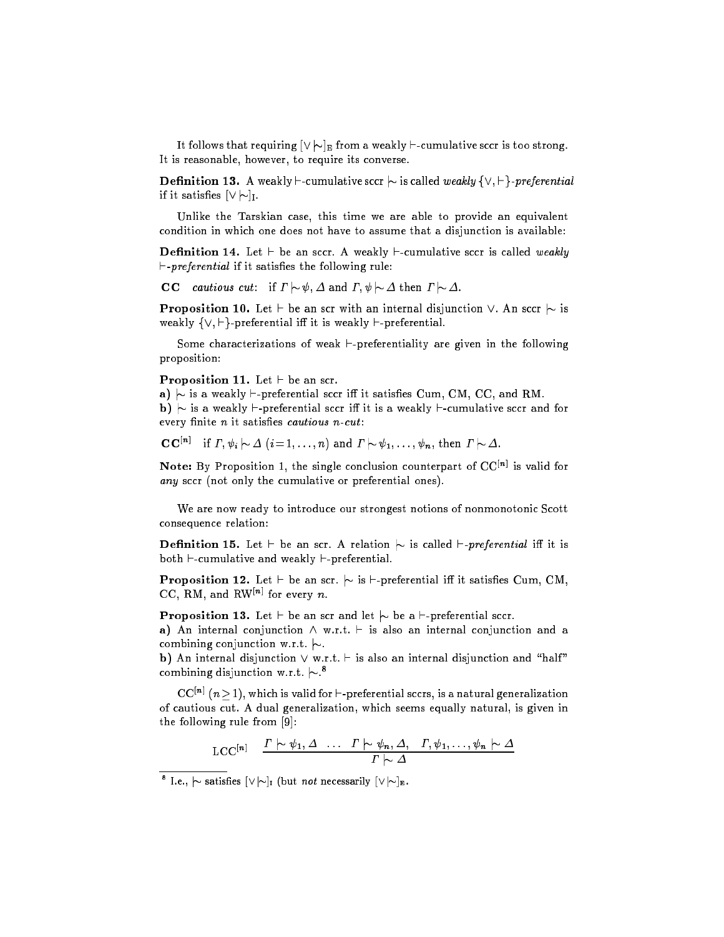It follows that requiring [\_ j]E from a weakly `-cumulative sccr is too strong. It is reasonable, however, to require its converse.

**Definition 13.** A weakly  $\vdash$ -cumulative sccr  $\sim$  is called weakly  $\{\vee, \vdash\}$ -preferential if it satisfies  $[\vee \sim]_I$ .

Unlike the Tarskian case, this time we are able to provide an equivalent condition in which one does not have to assume that a disjunction is available:

**Definition 14.** Let  $\vdash$  be an sccr. A weakly  $\vdash$ -cumulative sccr is called weakly  $p \cdot q$  is satisfied in the following rule:  $p \cdot q$  is satisfied.

CC cautious cut: if  $\Gamma \sim \psi$ ,  $\Delta$  and  $\Gamma$ ,  $\psi \sim \Delta$  then  $\Gamma \sim \Delta$ .

**Proposition 10.** Let  $\vdash$  be an scr with an internal disjunction  $\vee$ . An sccr  $\sim$  is weakly  $\{\vee, \vdash\}$ -preferential iff it is weakly  $\vdash$ -preferential.

Some characterizations of weak  $\vdash$ -preferentiality are given in the following proposition:

**Proposition 11.** Let  $\vdash$  be an scr.

a)  $\sim$  is a weakly  $\vdash$ -preferential sccr iff it satisfies Cum, CM, CC, and RM.

b)  $\sim$  is a weakly  $\vdash$ -preferential sccr iff it is a weakly  $\vdash$ -cumulative sccr and for every finite  $n$  it satisfies *cautious*  $n$ -cut:

 $\mathbf{C} \mathbf{C}$  if  $I$ ,  $\psi_i \sim \Delta$  ( $i = 1, \ldots, n$ ) and  $I \sim \psi_1, \ldots, \psi_n$ , then  $I \sim \Delta$ .

Note: By Proposition 1, the single conclusion counterpart of CC[n] is valid for any sccr (not only the cumulative or preferential ones).

We are now ready to introduce our strongest notions of nonmonotonic Scott consequence relation:

**Definition 15.** Let  $\vdash$  be an scr. A relation  $\sim$  is called  $\vdash$ -preferential iff it is both  $\vdash$ -cumulative and weakly  $\vdash$ -preferential.

**Proposition 12.** Let  $\vdash$  be an scr.  $\sim$  is  $\vdash$ -preferential iff it satisfies Cum, CM, CC, RM, and RW $\mathbb{C}$  for every n.

**Proposition 13.** Let  $\vdash$  be an scr and let  $\vdash$  be a  $\vdash$ -preferential sccr.

a) An internal conjunction  $\wedge$  w.r.t.  $\vdash$  is also an internal conjunction and a combining conjunction w.r.t.  $\sim$ .

b) An internal disjunction  $\vee$  w.r.t.  $\vdash$  is also an internal disjunction and "half" combining disjunction w.r.t.  $\sim$ .

 $\mathrm{UC}^{(n)}$  (  $n\geq 1$  ), which is valid for  $\sqsubset$  -preferential sccrs, is a natural generalization of cautious cut. A dual generalization, which seems equally natural, is given in the following rule from [9]:

$$
\text{LCC}^{[n]} \quad \frac{\Gamma \mid \sim \psi_1, \Delta \quad \dots \quad \Gamma \mid \sim \psi_n, \Delta, \quad \Gamma, \psi_1, \dots, \psi_n \mid \sim \Delta}{\Gamma \mid \sim \Delta}
$$

 $\lceil$  1.e.,  $\sim$  satisfies  $|\vee| \sim |I|$  (but not necessarily  $|\vee| \sim |E|$ .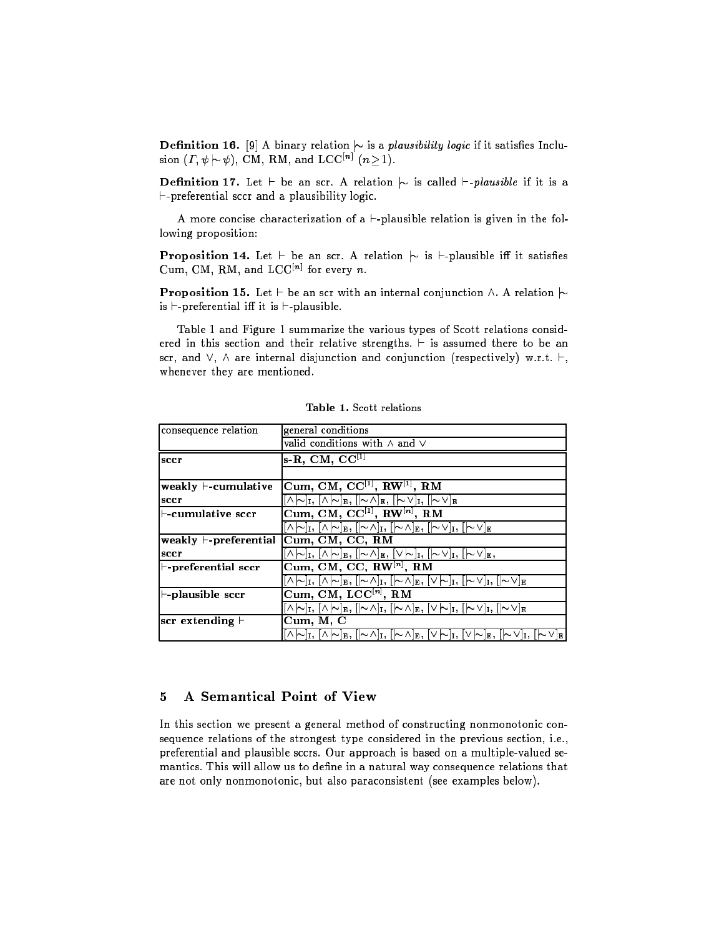**Definition 16.** [9] A binary relation  $\sim$  is a *plausibility logic* if it satisfies Inclusion  $(I, \psi \sim \psi)$ , CM, RM, and LCC<sup> $(n \geq 1)$ </sup>.

**Definition 17.** Let  $\vdash$  be an scr. A relation  $\sim$  is called  $\vdash$ -plausible if it is a  $\vdash$ -preferential sccr and a plausibility logic.

A more concise characterization of a  $\vdash$ -plausible relation is given in the following proposition:

**Proposition 14.** Let  $\vdash$  be an scr. A relation  $\sim$  is  $\vdash$ -plausible iff it satisfies Cum, CM,  $RM$ , and LCC<sup> $n$ </sup> for every n.

**Proposition 15.** Let  $\vdash$  be an scr with an internal conjunction  $\land$ . A relation  $\vdash$ is  $\vdash$ -preferential iff it is  $\vdash$ -plausible.

Table 1 and Figure 1 summarize the various types of Scott relations considered in this section and their relative strengths.  $\vdash$  is assumed there to be an scr, and  $\vee$ ,  $\wedge$  are internal disjunction and conjunction (respectively) w.r.t.  $\vdash$ , whenever they are mentioned.

| consequence relation                 | general conditions                                                                                                                                                                                                                                                                                                                                                                                                                |  |
|--------------------------------------|-----------------------------------------------------------------------------------------------------------------------------------------------------------------------------------------------------------------------------------------------------------------------------------------------------------------------------------------------------------------------------------------------------------------------------------|--|
|                                      | valid conditions with $\wedge$ and $\vee$                                                                                                                                                                                                                                                                                                                                                                                         |  |
| sccr                                 | $\vert {\rm s\text{-}R},\,\overline{\rm CM},\,\overline{\rm CC^{[1]}}$                                                                                                                                                                                                                                                                                                                                                            |  |
|                                      |                                                                                                                                                                                                                                                                                                                                                                                                                                   |  |
| weakly $\vdash$ -cumulative          | Cum, CM, CC <sup>[1]</sup> , RW <sup>[1]</sup> , RM                                                                                                                                                                                                                                                                                                                                                                               |  |
| sccr                                 | $[\wedge \hspace{0.2em}\sim\hspace{-0.9em}], [\wedge \hspace{0.2em}\sim\hspace{-0.9em}], \overline{[ \vee \wedge ]_{\mathbb{E}}}, [\hspace{0.2em}\sim\hspace{-0.9em}\vee ]_{\mathbb{E}}, [\hspace{0.2em}\sim\hspace{-0.9em}\vee ]_{\mathbb{I}}, [\hspace{0.2em}\sim\hspace{-0.9em}\vee ]_{\mathbb{E}}$                                                                                                                            |  |
| ⊩-cumulative sccr                    | Cum, CM, CC <sup>[1]</sup> , RW <sup>[n]</sup> , RM                                                                                                                                                                                                                                                                                                                                                                               |  |
|                                      | $[\wedge \hspace{0.2em}\sim\hspace{-0.2em}], [\wedge \hspace{0.2em}\sim\hspace{-0.2em}], [ \hspace{0.2em}\sim\hspace{-0.2em}\sim\hspace{-0.2em}], [\wedge \wedge ]_{\mathbb{E}}, [\hspace{0.2em}\sim\hspace{-0.2em}\backslash]_{\mathbb{E}}, [\hspace{0.2em}\sim\hspace{-0.2em}\backslash]_{\mathbb{E}}, [\hspace{0.2em}\sim\hspace{-0.2em}\backslash]_{\mathbb{E}}$                                                              |  |
| weakly $\vdash$ -preferential        | Cum, CM, CC, RM                                                                                                                                                                                                                                                                                                                                                                                                                   |  |
| sccr                                 | $[\wedge \wedge]_I, [\wedge \wedge]_E, [\vee \wedge]_E, [\vee \wedge]_I, [\wedge \vee]_I, [\wedge \vee]_E,$                                                                                                                                                                                                                                                                                                                       |  |
| $\mathrel{\Vdash}$ preferential sccr | Cum, CM, CC, $RW^{[n]}$ , RM                                                                                                                                                                                                                                                                                                                                                                                                      |  |
|                                      | $[\wedge \hspace{0.2em}\sim\hspace{-0.2em}], [\wedge \hspace{0.2em}\sim\hspace{-0.2em}], [\wedge \hspace{0.2em}\sim\hspace{-0.2em}], [\wedge \wedge]_{\mathbb{E}}, [\vee \hspace{0.2em}\sim\hspace{-0.2em}], [\wedge \vee]_{\mathbb{I}}, [\wedge \vee]_{\mathbb{E}}$                                                                                                                                                              |  |
| ⊩-plausible sccr                     | $Cum, CM, LCC^{[n]}, RM$                                                                                                                                                                                                                                                                                                                                                                                                          |  |
|                                      | $[\wedge \{\sim\}]_I, [\wedge \{\sim\}]_E, [\sim \wedge]_I, [\sim \wedge]_E, [\vee \{\sim\}]_I, [\sim \vee]_I, [\sim \vee]_E$                                                                                                                                                                                                                                                                                                     |  |
| scr extending $\vdash$               | Cum, M, C                                                                                                                                                                                                                                                                                                                                                                                                                         |  |
|                                      | $[\wedge \hspace{0.2em}\sim\hspace{-0.2em}],\ [\wedge \hspace{0.2em}\sim\hspace{-0.2em}\sim\hspace{-0.2em}],\ [\hspace{0.2em}\sim\hspace{-0.2em}\wedge\hspace{0.2em}],\ [\vee \hspace{0.2em}\sim\hspace{-0.2em}\mid\hspace{0.2em}],\ [\vee \hspace{0.2em}\sim\hspace{-0.2em}\mid\hspace{0.2em}],\ [\vee \hspace{0.2em}\sim\hspace{-0.2em}\mid\hspace{0.2em}],\ [\vee \vee]_{\mathbb{E}},\ [\wedge \vee]_{\mathbb{E}},\ [\wedge \$ |  |

Table 1. Scott relations

#### $\overline{5}$ **A Semantical Point of View**

In this section we present a general method of constructing nonmonotonic consequence relations of the strongest type considered in the previous section, i.e., preferential and plausible sccrs. Our approach is based on a multiple-valued semantics. This will allow us to define in a natural way consequence relations that are not only nonmonotonic, but also paraconsistent (see examples below).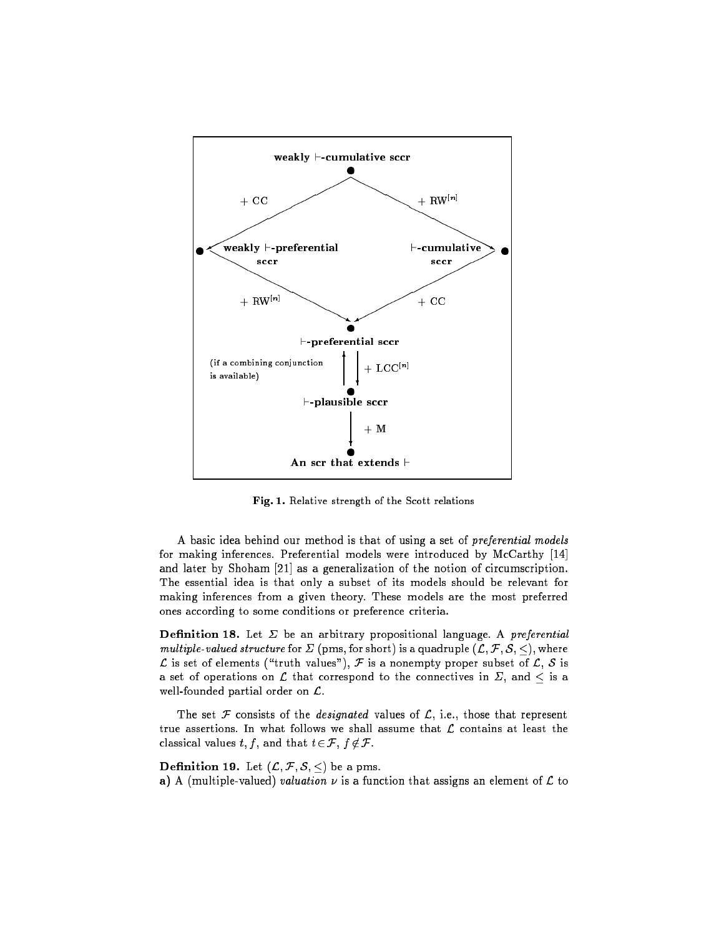

Fig. 1. Relative strength of the Scott relations

A basic idea behind our method is that of using a set of preferential models for making inferences. Preferential models were introduced by McCarthy [14] and later by Shoham [21] as a generalization of the notion of circumscription. The essential idea is that only a subset of its models should be relevant for making inferences from a given theory. These models are the most preferred ones according to some conditions or preference criteria.

**Definition 18.** Let  $\Sigma$  be an arbitrary propositional language. A preferential multiple-valued structure structure  $\mathcal{L}$  (point) is a short) is a quadruple (L;  $\mathcal{L}$  ),  $\mathcal{L}$  , where  $\sim$  set of elements ( ) and values (), F is a nonempty proper subset of  $\sim$   $\sim$ a set of operations on  $\mathcal L$  that correspond to the connectives in  $\Sigma$ , and  $\leq$  is a well-founded partial order on L.

The set  $\mathcal F$  consists of the *designated* values of  $\mathcal L$ , i.e., those that represent true assertions. In what follows we shall assume that  $\mathcal L$  contains at least the classical values t, f, and that  $t \in \mathcal{F}$ ,  $f \notin \mathcal{F}$ .

**Definition 19.** Let  $(\mathcal{L}, \mathcal{F}, \mathcal{S}, \leq)$  be a pms. a) A (multiple-valued) valuation  $\nu$  is a function that assigns an element of  $\mathcal L$  to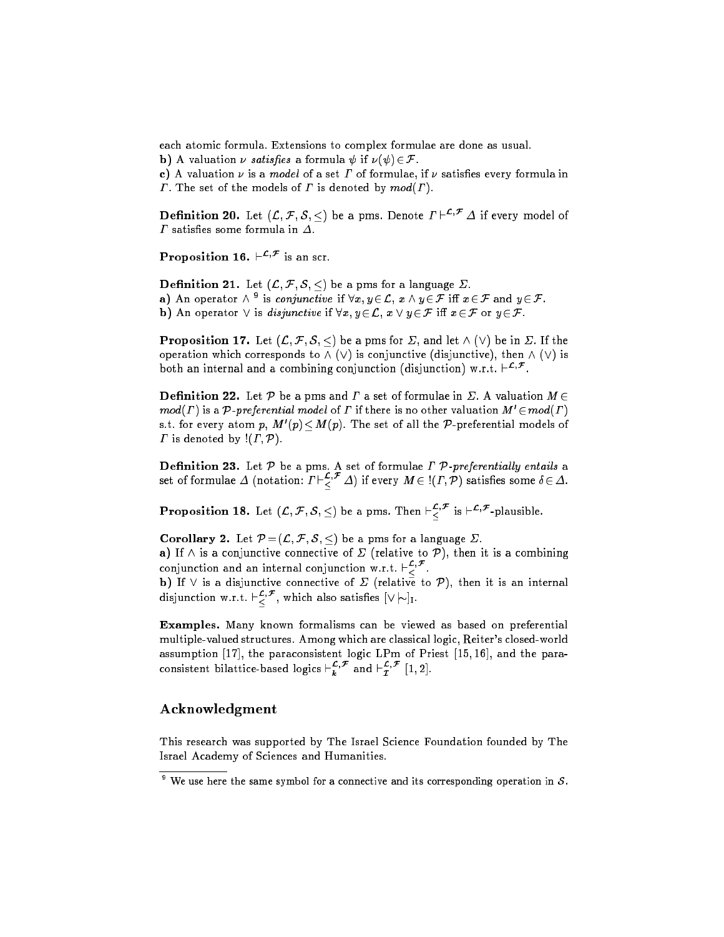each atomic formula. Extensions to complex formulae are done as usual.

**b**) A valuation  $\nu$  satisfies a formula  $\psi$  if  $\nu(\psi) \in \mathcal{F}$ .

c) A valuation  $\nu$  is a model of a set  $\Gamma$  of formulae, if  $\nu$  satisfies every formula in

 $\Gamma$ . The set of the models of  $\Gamma$  is denoted by  $mod(\Gamma)$ .

**Definition 20.** Let  $(\mathcal{L}, \mathcal{F}, \mathcal{S}, \leq)$  be a pms. Denote  $\Gamma \vdash^{\mathcal{L}, \mathcal{F}} \Delta$  if every model of  $\Gamma$  satisfies some formula in  $\Delta$ .

**Proposition 10.**  $\Gamma$ <sup>-1</sup> is an scr.

**Definition 21.** Let  $(\mathcal{L}, \mathcal{F}, \mathcal{S}, \leq)$  be a pms for a language  $\Sigma$ . **a**) An operator  $\wedge$  is conjunctive if  $\forall x, y \in L$ ,  $x \wedge y \in \mathcal{F}$  in  $x \in \mathcal{F}$  and  $y \in \mathcal{F}$ . **b)** An operator  $\vee$  is *disjunctive* if  $\forall x, y \in \mathcal{L}$ ,  $x \vee y \in \mathcal{F}$  iff  $x \in \mathcal{F}$  or  $y \in \mathcal{F}$ .

**Proposition 17.** Let  $(L, \mathcal{F}, \mathcal{S}, \leq)$  be a pms for  $\Sigma$ , and let  $\wedge$  ( $\vee$ ) be in  $\Sigma$ . If the operation which corresponds to  $\wedge$  (V) is conjunctive (disjunctive), then  $\wedge$  (V) is both an internal and a combining conjunction (disjunction) w.r.t.  $\Box$ .

**Definition 22.** Let  $P$  be a pms and  $\Gamma$  a set of formulae in  $\Sigma$ . A valuation  $M \in$  $mod(1)$  is a P-preferential model of I and there is no other valuation  $M \in mod(1)$ s.t. for every atom  $p$ ,  $m$   $\mid$   $p$ )  $\le$   $m$   $\mid$   $p$ ). The set of all the  $P$ -preferential models of  $\Gamma$  is denoted by ! $(\Gamma, \mathcal{P})$ .

**Definition 23.** Let  $P$  be a pms. A set of formulae  $\Gamma$   $P$ -preferentially entails a set of formulae  $\Delta$  (notation:  $I \vdash \preceq^* \Delta$ ) if every  $M \in \{ (I, \mathcal{P}) \text{ satisfies some } \delta \in \Delta \}$ .

**Proposition 18.** Let  $(L, \mathcal{F}, \mathcal{S}, \leq)$  be a pms. Then  $\vdash \zeta^*$  is  $\vdash^*$ , -plausible.

**Corollary 2.** Let  $\mathcal{P} = (\mathcal{L}, \mathcal{F}, \mathcal{S}, \leq)$  be a pms for a language  $\mathcal{L}$ .

a) If ^ is a conjunctive connective of (relative to P), then it is a combining conjunction and an internal conjunction w.r.t.  $\vdash \leq^r$ .

 $\alpha$  ) is a disjunctive connective of  $\alpha$  (relative to  $P$ ), then it is an internal disjunction w.r.t.  $\vdash \preceq$ ", which also satisfies  $[\vee \rhd]_I.$ 

Examples. Many known formalisms can be viewed as based on preferential multiple-valued structures. Among which are classical logic, Reiter's closed-world assumption [17], the paraconsistent logic LPm of Priest [15, 16], and the paraconsistent bilattice-based logics  $\vdash_k^{\cdots}$  and  $\vdash_T^{\cdots}$  [1, 2].

## Acknowledgment

This research was supported by The Israel Science Foundation founded by The Israel Academy of Sciences and Humanities.

 $\,$  We use here the same symbol for a connective and its corresponding operation in  $\delta.$